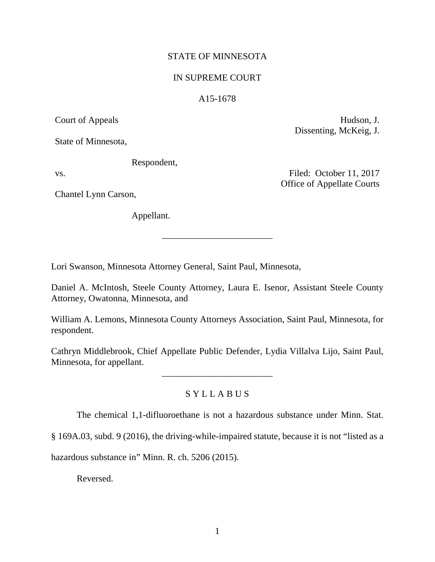## STATE OF MINNESOTA

## IN SUPREME COURT

#### A15-1678

State of Minnesota,

Respondent,

Chantel Lynn Carson,

Appellant.

Court of Appeals Hudson, J. Dissenting, McKeig, J.

vs. Filed: October 11, 2017 Office of Appellate Courts

Lori Swanson, Minnesota Attorney General, Saint Paul, Minnesota,

Daniel A. McIntosh, Steele County Attorney, Laura E. Isenor, Assistant Steele County Attorney, Owatonna, Minnesota, and

\_\_\_\_\_\_\_\_\_\_\_\_\_\_\_\_\_\_\_\_\_\_\_\_

William A. Lemons, Minnesota County Attorneys Association, Saint Paul, Minnesota, for respondent.

Cathryn Middlebrook, Chief Appellate Public Defender, Lydia Villalva Lijo, Saint Paul, Minnesota, for appellant.

\_\_\_\_\_\_\_\_\_\_\_\_\_\_\_\_\_\_\_\_\_\_\_\_

## S Y L L A B U S

The chemical 1,1-difluoroethane is not a hazardous substance under Minn. Stat.

§ 169A.03, subd. 9 (2016), the driving-while-impaired statute, because it is not "listed as a

hazardous substance in" Minn. R. ch. 5206 (2015).

Reversed.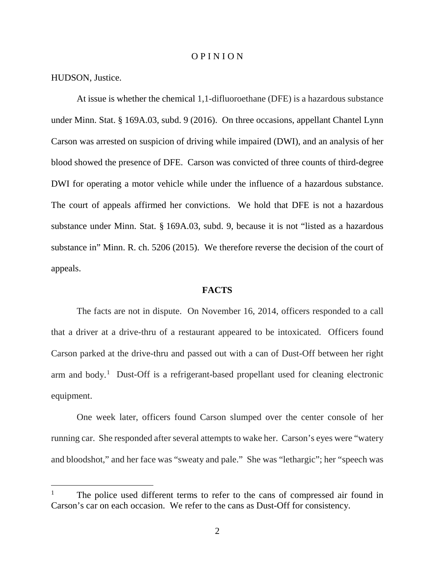#### O P I N I O N

HUDSON, Justice.

At issue is whether the chemical 1,1-difluoroethane (DFE) is a hazardous substance under Minn. Stat. § 169A.03, subd. 9 (2016). On three occasions, appellant Chantel Lynn Carson was arrested on suspicion of driving while impaired (DWI), and an analysis of her blood showed the presence of DFE. Carson was convicted of three counts of third-degree DWI for operating a motor vehicle while under the influence of a hazardous substance. The court of appeals affirmed her convictions. We hold that DFE is not a hazardous substance under Minn. Stat. § 169A.03, subd. 9, because it is not "listed as a hazardous substance in" Minn. R. ch. 5206 (2015). We therefore reverse the decision of the court of appeals.

## **FACTS**

The facts are not in dispute. On November 16, 2014, officers responded to a call that a driver at a drive-thru of a restaurant appeared to be intoxicated. Officers found Carson parked at the drive-thru and passed out with a can of Dust-Off between her right arm and body.<sup>[1](#page-1-0)</sup> Dust-Off is a refrigerant-based propellant used for cleaning electronic equipment.

One week later, officers found Carson slumped over the center console of her running car. She responded after several attempts to wake her. Carson's eyes were "watery and bloodshot," and her face was "sweaty and pale." She was "lethargic"; her "speech was

<span id="page-1-0"></span><sup>&</sup>lt;sup>1</sup> The police used different terms to refer to the cans of compressed air found in Carson's car on each occasion. We refer to the cans as Dust-Off for consistency.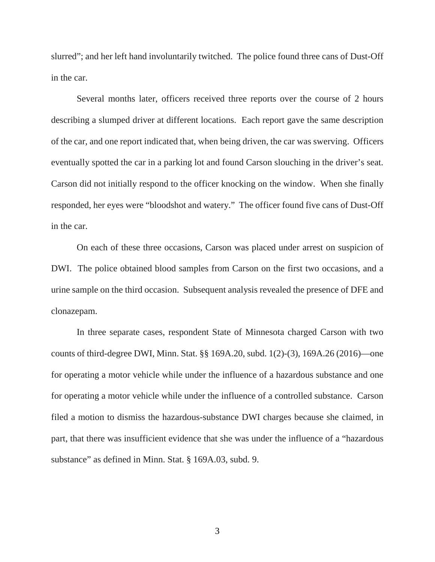slurred"; and her left hand involuntarily twitched. The police found three cans of Dust-Off in the car.

Several months later, officers received three reports over the course of 2 hours describing a slumped driver at different locations. Each report gave the same description of the car, and one report indicated that, when being driven, the car was swerving. Officers eventually spotted the car in a parking lot and found Carson slouching in the driver's seat. Carson did not initially respond to the officer knocking on the window. When she finally responded, her eyes were "bloodshot and watery." The officer found five cans of Dust-Off in the car.

On each of these three occasions, Carson was placed under arrest on suspicion of DWI. The police obtained blood samples from Carson on the first two occasions, and a urine sample on the third occasion. Subsequent analysis revealed the presence of DFE and clonazepam.

In three separate cases, respondent State of Minnesota charged Carson with two counts of third-degree DWI, Minn. Stat. §§ 169A.20, subd. 1(2)-(3), 169A.26 (2016)—one for operating a motor vehicle while under the influence of a hazardous substance and one for operating a motor vehicle while under the influence of a controlled substance. Carson filed a motion to dismiss the hazardous-substance DWI charges because she claimed, in part, that there was insufficient evidence that she was under the influence of a "hazardous substance" as defined in Minn. Stat. § 169A.03, subd. 9.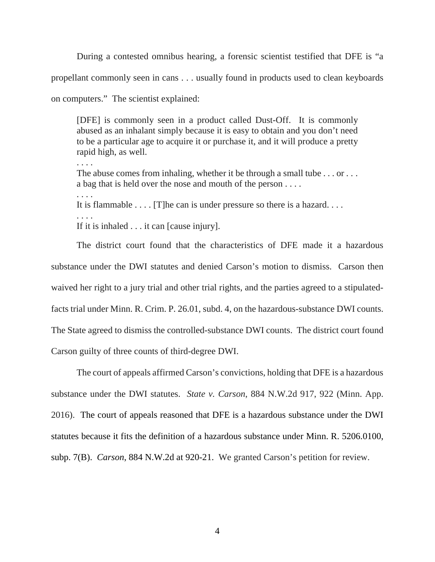During a contested omnibus hearing, a forensic scientist testified that DFE is "a propellant commonly seen in cans . . . usually found in products used to clean keyboards on computers." The scientist explained:

[DFE] is commonly seen in a product called Dust-Off. It is commonly abused as an inhalant simply because it is easy to obtain and you don't need to be a particular age to acquire it or purchase it, and it will produce a pretty rapid high, as well.

. . . . The abuse comes from inhaling, whether it be through a small tube . . . or . . . a bag that is held over the nose and mouth of the person . . . . . . . . It is flammable . . . . [T]he can is under pressure so there is a hazard. . . . . . . . If it is inhaled . . . it can [cause injury].

The district court found that the characteristics of DFE made it a hazardous substance under the DWI statutes and denied Carson's motion to dismiss. Carson then waived her right to a jury trial and other trial rights, and the parties agreed to a stipulatedfacts trial under Minn. R. Crim. P. 26.01, subd. 4, on the hazardous-substance DWI counts. The State agreed to dismiss the controlled-substance DWI counts. The district court found Carson guilty of three counts of third-degree DWI.

The court of appeals affirmed Carson's convictions, holding that DFE is a hazardous substance under the DWI statutes. *State v. Carson*, 884 N.W.2d 917, 922 (Minn. App. 2016). The court of appeals reasoned that DFE is a hazardous substance under the DWI statutes because it fits the definition of a hazardous substance under Minn. R. 5206.0100, subp. 7(B). *Carson*, 884 N.W.2d at 920-21. We granted Carson's petition for review.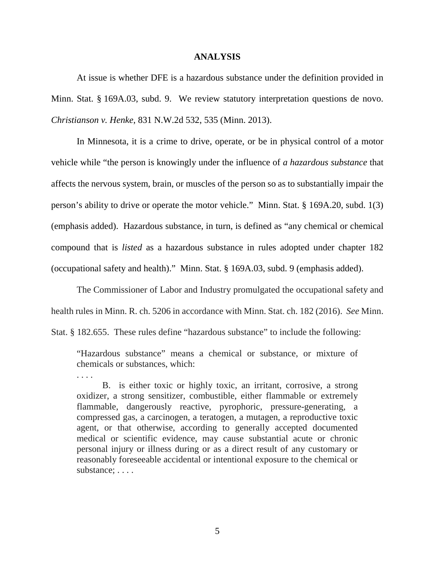#### **ANALYSIS**

At issue is whether DFE is a hazardous substance under the definition provided in Minn. Stat. § 169A.03, subd. 9. We review statutory interpretation questions de novo. *Christianson v. Henke*, 831 N.W.2d 532, 535 (Minn. 2013).

In Minnesota, it is a crime to drive, operate, or be in physical control of a motor vehicle while "the person is knowingly under the influence of *a hazardous substance* that affects the nervous system, brain, or muscles of the person so as to substantially impair the person's ability to drive or operate the motor vehicle." Minn. Stat. § 169A.20, subd. 1(3) (emphasis added). Hazardous substance, in turn, is defined as "any chemical or chemical compound that is *listed* as a hazardous substance in rules adopted under chapter 182 (occupational safety and health)." Minn. Stat. § 169A.03, subd. 9 (emphasis added).

The Commissioner of Labor and Industry promulgated the occupational safety and health rules in Minn. R. ch. 5206 in accordance with Minn. Stat. ch. 182 (2016). *See* Minn.

Stat. § 182.655. These rules define "hazardous substance" to include the following:

. . . .

"Hazardous substance" means a chemical or substance, or mixture of chemicals or substances, which:

B. is either toxic or highly toxic, an irritant, corrosive, a strong oxidizer, a strong sensitizer, combustible, either flammable or extremely flammable, dangerously reactive, pyrophoric, pressure-generating, a compressed gas, a carcinogen, a teratogen, a mutagen, a reproductive toxic agent, or that otherwise, according to generally accepted documented medical or scientific evidence, may cause substantial acute or chronic personal injury or illness during or as a direct result of any customary or reasonably foreseeable accidental or intentional exposure to the chemical or substance: . . . .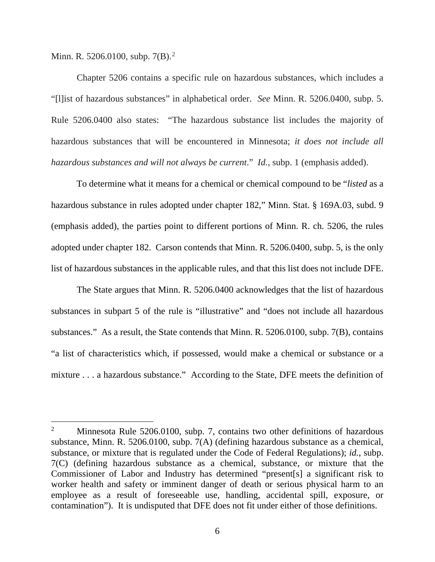Minn. R. 5[2](#page-5-0)06.0100, subp. 7(B).<sup>2</sup>

Chapter 5206 contains a specific rule on hazardous substances, which includes a "[l]ist of hazardous substances" in alphabetical order. *See* Minn. R. 5206.0400, subp. 5. Rule 5206.0400 also states: "The hazardous substance list includes the majority of hazardous substances that will be encountered in Minnesota; *it does not include all hazardous substances and will not always be current*." *Id.*, subp. 1 (emphasis added).

To determine what it means for a chemical or chemical compound to be "*listed* as a hazardous substance in rules adopted under chapter 182," Minn. Stat. § 169A.03, subd. 9 (emphasis added), the parties point to different portions of Minn. R. ch. 5206, the rules adopted under chapter 182. Carson contends that Minn. R. 5206.0400, subp. 5, is the only list of hazardous substances in the applicable rules, and that this list does not include DFE.

The State argues that Minn. R. 5206.0400 acknowledges that the list of hazardous substances in subpart 5 of the rule is "illustrative" and "does not include all hazardous substances." As a result, the State contends that Minn. R. 5206.0100, subp. 7(B), contains "a list of characteristics which, if possessed, would make a chemical or substance or a mixture . . . a hazardous substance." According to the State, DFE meets the definition of

<span id="page-5-0"></span><sup>&</sup>lt;sup>2</sup> Minnesota Rule 5206.0100, subp. 7, contains two other definitions of hazardous substance, Minn. R. 5206.0100, subp. 7(A) (defining hazardous substance as a chemical, substance, or mixture that is regulated under the Code of Federal Regulations); *id.*, subp. 7(C) (defining hazardous substance as a chemical, substance, or mixture that the Commissioner of Labor and Industry has determined "present[s] a significant risk to worker health and safety or imminent danger of death or serious physical harm to an employee as a result of foreseeable use, handling, accidental spill, exposure, or contamination"). It is undisputed that DFE does not fit under either of those definitions.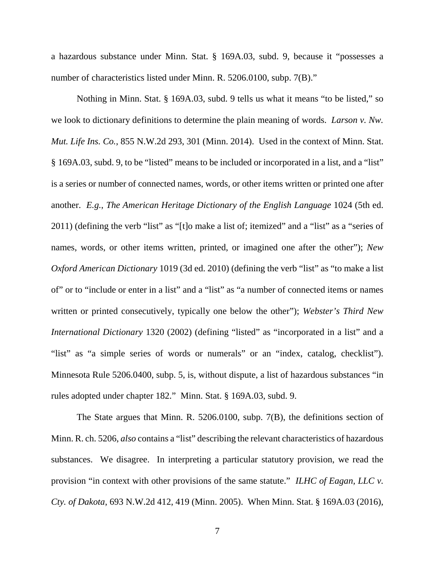a hazardous substance under Minn. Stat. § 169A.03, subd. 9, because it "possesses a number of characteristics listed under Minn. R. 5206.0100, subp. 7(B)."

Nothing in Minn. Stat. § 169A.03, subd. 9 tells us what it means "to be listed," so we look to dictionary definitions to determine the plain meaning of words. *Larson v. Nw. Mut. Life Ins. Co.*, 855 N.W.2d 293, 301 (Minn. 2014). Used in the context of Minn. Stat. § 169A.03, subd. 9, to be "listed" means to be included or incorporated in a list, and a "list" is a series or number of connected names, words, or other items written or printed one after another. *E.g.*, *The American Heritage Dictionary of the English Language* 1024 (5th ed. 2011) (defining the verb "list" as "[t]o make a list of; itemized" and a "list" as a "series of names, words, or other items written, printed, or imagined one after the other"); *New Oxford American Dictionary* 1019 (3d ed. 2010) (defining the verb "list" as "to make a list of" or to "include or enter in a list" and a "list" as "a number of connected items or names written or printed consecutively, typically one below the other"); *Webster's Third New International Dictionary* 1320 (2002) (defining "listed" as "incorporated in a list" and a "list" as "a simple series of words or numerals" or an "index, catalog, checklist"). Minnesota Rule 5206.0400, subp. 5, is, without dispute, a list of hazardous substances "in rules adopted under chapter 182." Minn. Stat. § 169A.03, subd. 9.

The State argues that Minn. R. 5206.0100, subp. 7(B), the definitions section of Minn. R. ch. 5206, *also* contains a "list" describing the relevant characteristics of hazardous substances. We disagree. In interpreting a particular statutory provision, we read the provision "in context with other provisions of the same statute." *ILHC of Eagan, LLC v. Cty. of Dakota*, 693 N.W.2d 412, 419 (Minn. 2005). When Minn. Stat. § 169A.03 (2016),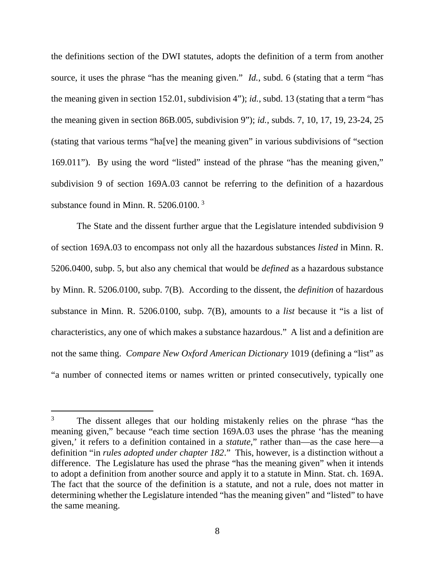the definitions section of the DWI statutes, adopts the definition of a term from another source, it uses the phrase "has the meaning given." *Id.*, subd. 6 (stating that a term "has the meaning given in section 152.01, subdivision 4"); *id.*, subd. 13 (stating that a term "has the meaning given in section 86B.005, subdivision 9"); *id.*, subds. 7, 10, 17, 19, 23-24, 25 (stating that various terms "ha[ve] the meaning given" in various subdivisions of "section 169.011"). By using the word "listed" instead of the phrase "has the meaning given," subdivision 9 of section 169A.03 cannot be referring to the definition of a hazardous substance found in Minn. R. 5206.0100.<sup>[3](#page-7-0)</sup>

The State and the dissent further argue that the Legislature intended subdivision 9 of section 169A.03 to encompass not only all the hazardous substances *listed* in Minn. R. 5206.0400, subp. 5, but also any chemical that would be *defined* as a hazardous substance by Minn. R. 5206.0100, subp. 7(B). According to the dissent, the *definition* of hazardous substance in Minn. R. 5206.0100, subp. 7(B), amounts to a *list* because it "is a list of characteristics, any one of which makes a substance hazardous." A list and a definition are not the same thing. *Compare New Oxford American Dictionary* 1019 (defining a "list" as "a number of connected items or names written or printed consecutively, typically one

<span id="page-7-0"></span><sup>&</sup>lt;sup>3</sup> The dissent alleges that our holding mistakenly relies on the phrase "has the meaning given," because "each time section 169A.03 uses the phrase 'has the meaning given,' it refers to a definition contained in a *statute*," rather than—as the case here—a definition "in *rules adopted under chapter 182*." This, however, is a distinction without a difference. The Legislature has used the phrase "has the meaning given" when it intends to adopt a definition from another source and apply it to a statute in Minn. Stat. ch. 169A. The fact that the source of the definition is a statute, and not a rule, does not matter in determining whether the Legislature intended "has the meaning given" and "listed" to have the same meaning.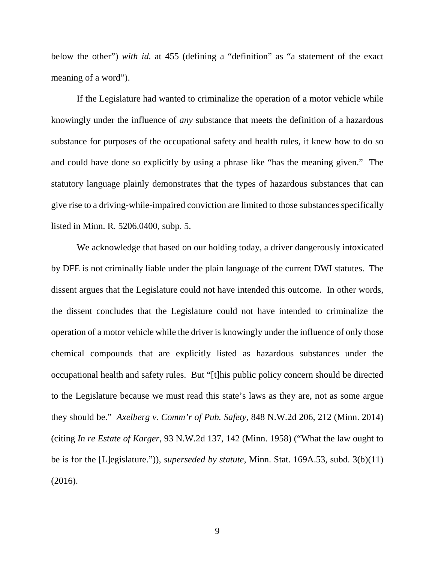below the other") *with id.* at 455 (defining a "definition" as "a statement of the exact meaning of a word").

If the Legislature had wanted to criminalize the operation of a motor vehicle while knowingly under the influence of *any* substance that meets the definition of a hazardous substance for purposes of the occupational safety and health rules, it knew how to do so and could have done so explicitly by using a phrase like "has the meaning given." The statutory language plainly demonstrates that the types of hazardous substances that can give rise to a driving-while-impaired conviction are limited to those substances specifically listed in Minn. R. 5206.0400, subp. 5.

We acknowledge that based on our holding today, a driver dangerously intoxicated by DFE is not criminally liable under the plain language of the current DWI statutes. The dissent argues that the Legislature could not have intended this outcome. In other words, the dissent concludes that the Legislature could not have intended to criminalize the operation of a motor vehicle while the driver is knowingly under the influence of only those chemical compounds that are explicitly listed as hazardous substances under the occupational health and safety rules. But "[t]his public policy concern should be directed to the Legislature because we must read this state's laws as they are, not as some argue they should be." *Axelberg v. Comm'r of Pub. Safety*, 848 N.W.2d 206, 212 (Minn. 2014) (citing *In re Estate of Karger*, 93 N.W.2d 137, 142 (Minn. 1958) ("What the law ought to be is for the [L]egislature.")), *superseded by statute*, Minn. Stat. 169A.53, subd. 3(b)(11) (2016).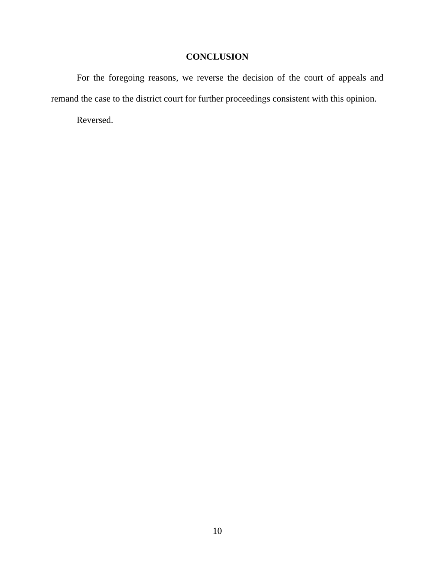# **CONCLUSION**

For the foregoing reasons, we reverse the decision of the court of appeals and remand the case to the district court for further proceedings consistent with this opinion.

Reversed.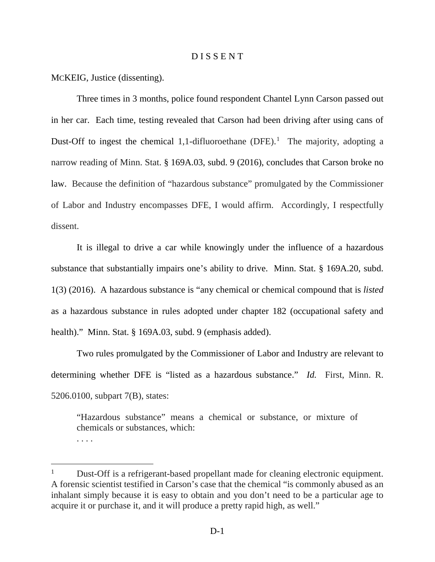#### D I S S E N T

MCKEIG, Justice (dissenting).

Three times in 3 months, police found respondent Chantel Lynn Carson passed out in her car. Each time, testing revealed that Carson had been driving after using cans of Dust-Off to ingest the chemical [1](#page-10-0),1-difluoroethane (DFE).<sup>1</sup> The majority, adopting a narrow reading of Minn. Stat. § 169A.03, subd. 9 (2016), concludes that Carson broke no law. Because the definition of "hazardous substance" promulgated by the Commissioner of Labor and Industry encompasses DFE, I would affirm. Accordingly, I respectfully dissent.

It is illegal to drive a car while knowingly under the influence of a hazardous substance that substantially impairs one's ability to drive. Minn. Stat. § 169A.20, subd. 1(3) (2016). A hazardous substance is "any chemical or chemical compound that is *listed* as a hazardous substance in rules adopted under chapter 182 (occupational safety and health)." Minn. Stat. § 169A.03, subd. 9 (emphasis added).

Two rules promulgated by the Commissioner of Labor and Industry are relevant to determining whether DFE is "listed as a hazardous substance." *Id.* First, Minn. R. 5206.0100, subpart 7(B), states:

"Hazardous substance" means a chemical or substance, or mixture of chemicals or substances, which: . . . .

<span id="page-10-0"></span><sup>&</sup>lt;sup>1</sup> Dust-Off is a refrigerant-based propellant made for cleaning electronic equipment. A forensic scientist testified in Carson's case that the chemical "is commonly abused as an inhalant simply because it is easy to obtain and you don't need to be a particular age to acquire it or purchase it, and it will produce a pretty rapid high, as well."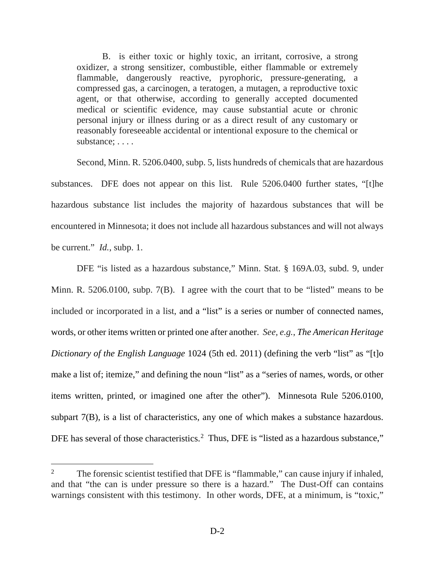B. is either toxic or highly toxic, an irritant, corrosive, a strong oxidizer, a strong sensitizer, combustible, either flammable or extremely flammable, dangerously reactive, pyrophoric, pressure-generating, a compressed gas, a carcinogen, a teratogen, a mutagen, a reproductive toxic agent, or that otherwise, according to generally accepted documented medical or scientific evidence, may cause substantial acute or chronic personal injury or illness during or as a direct result of any customary or reasonably foreseeable accidental or intentional exposure to the chemical or substance: . . . .

Second, Minn. R. 5206.0400, subp. 5, lists hundreds of chemicals that are hazardous substances. DFE does not appear on this list. Rule 5206.0400 further states, "[t]he hazardous substance list includes the majority of hazardous substances that will be encountered in Minnesota; it does not include all hazardous substances and will not always be current." *Id.*, subp. 1.

DFE "is listed as a hazardous substance," Minn. Stat. § 169A.03, subd. 9, under Minn. R. 5206.0100, subp. 7(B). I agree with the court that to be "listed" means to be included or incorporated in a list, and a "list" is a series or number of connected names, words, or other items written or printed one after another. *See, e.g.*, *The American Heritage Dictionary of the English Language* 1024 (5th ed. 2011) (defining the verb "list" as "[t]o make a list of; itemize," and defining the noun "list" as a "series of names, words, or other items written, printed, or imagined one after the other"). Minnesota Rule 5206.0100, subpart 7(B), is a list of characteristics, any one of which makes a substance hazardous. DFE has several of those characteristics.<sup>[2](#page-11-0)</sup> Thus, DFE is "listed as a hazardous substance,"

<span id="page-11-0"></span><sup>&</sup>lt;sup>2</sup> The forensic scientist testified that DFE is "flammable," can cause injury if inhaled, and that "the can is under pressure so there is a hazard." The Dust-Off can contains warnings consistent with this testimony. In other words, DFE, at a minimum, is "toxic,"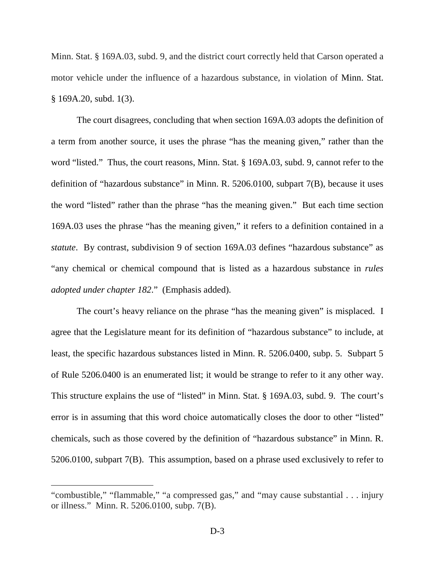Minn. Stat. § 169A.03, subd. 9, and the district court correctly held that Carson operated a motor vehicle under the influence of a hazardous substance, in violation of Minn. Stat. § 169A.20, subd. 1(3).

The court disagrees, concluding that when section 169A.03 adopts the definition of a term from another source, it uses the phrase "has the meaning given," rather than the word "listed." Thus, the court reasons, Minn. Stat. § 169A.03, subd. 9, cannot refer to the definition of "hazardous substance" in Minn. R. 5206.0100, subpart 7(B), because it uses the word "listed" rather than the phrase "has the meaning given." But each time section 169A.03 uses the phrase "has the meaning given," it refers to a definition contained in a *statute*. By contrast, subdivision 9 of section 169A.03 defines "hazardous substance" as "any chemical or chemical compound that is listed as a hazardous substance in *rules adopted under chapter 182*." (Emphasis added).

The court's heavy reliance on the phrase "has the meaning given" is misplaced. I agree that the Legislature meant for its definition of "hazardous substance" to include, at least, the specific hazardous substances listed in Minn. R. 5206.0400, subp. 5. Subpart 5 of Rule 5206.0400 is an enumerated list; it would be strange to refer to it any other way. This structure explains the use of "listed" in Minn. Stat. § 169A.03, subd. 9. The court's error is in assuming that this word choice automatically closes the door to other "listed" chemicals, such as those covered by the definition of "hazardous substance" in Minn. R. 5206.0100, subpart 7(B). This assumption, based on a phrase used exclusively to refer to

 $\overline{a}$ 

<sup>&</sup>quot;combustible," "flammable," "a compressed gas," and "may cause substantial . . . injury or illness." Minn. R. 5206.0100, subp. 7(B).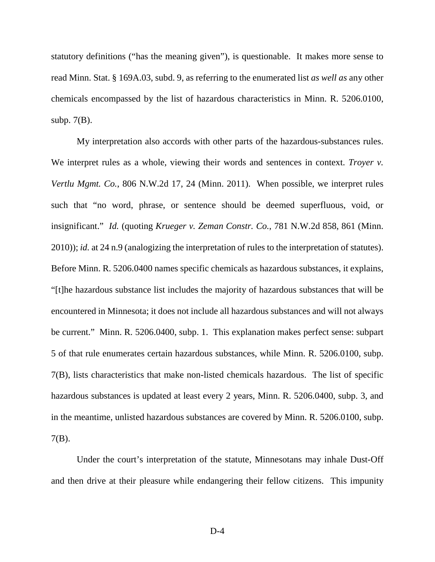statutory definitions ("has the meaning given"), is questionable. It makes more sense to read Minn. Stat. § 169A.03, subd. 9, as referring to the enumerated list *as well as* any other chemicals encompassed by the list of hazardous characteristics in Minn. R. 5206.0100, subp. 7(B).

My interpretation also accords with other parts of the hazardous-substances rules. We interpret rules as a whole, viewing their words and sentences in context. *Troyer v. Vertlu Mgmt. Co.*, 806 N.W.2d 17, 24 (Minn. 2011). When possible, we interpret rules such that "no word, phrase, or sentence should be deemed superfluous, void, or insignificant." *Id.* (quoting *Krueger v. Zeman Constr. Co.*, 781 N.W.2d 858, 861 (Minn. 2010)); *id.* at 24 n.9 (analogizing the interpretation of rules to the interpretation of statutes). Before Minn. R. 5206.0400 names specific chemicals as hazardous substances, it explains, "[t]he hazardous substance list includes the majority of hazardous substances that will be encountered in Minnesota; it does not include all hazardous substances and will not always be current." Minn. R. 5206.0400, subp. 1. This explanation makes perfect sense: subpart 5 of that rule enumerates certain hazardous substances, while Minn. R. 5206.0100, subp. 7(B), lists characteristics that make non-listed chemicals hazardous. The list of specific hazardous substances is updated at least every 2 years, Minn. R. 5206.0400, subp. 3, and in the meantime, unlisted hazardous substances are covered by Minn. R. 5206.0100, subp. 7(B).

Under the court's interpretation of the statute, Minnesotans may inhale Dust-Off and then drive at their pleasure while endangering their fellow citizens. This impunity